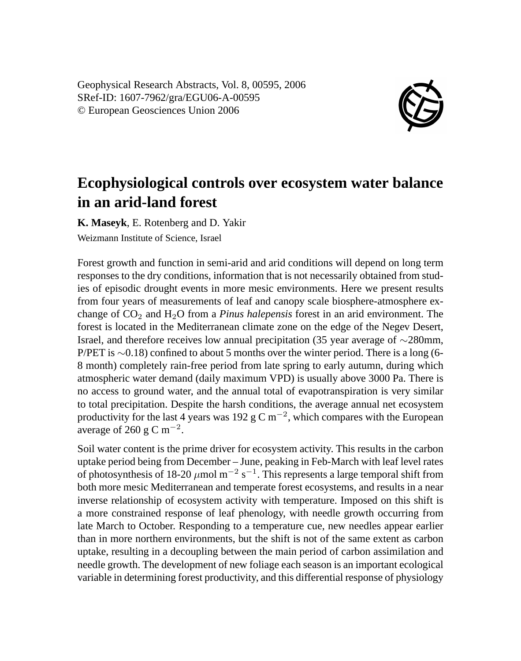Geophysical Research Abstracts, Vol. 8, 00595, 2006 SRef-ID: 1607-7962/gra/EGU06-A-00595 © European Geosciences Union 2006



## **Ecophysiological controls over ecosystem water balance in an arid-land forest**

**K. Maseyk**, E. Rotenberg and D. Yakir Weizmann Institute of Science, Israel

Forest growth and function in semi-arid and arid conditions will depend on long term responses to the dry conditions, information that is not necessarily obtained from studies of episodic drought events in more mesic environments. Here we present results from four years of measurements of leaf and canopy scale biosphere-atmosphere exchange of  $CO<sub>2</sub>$  and  $H<sub>2</sub>O$  from a *Pinus halepensis* forest in an arid environment. The forest is located in the Mediterranean climate zone on the edge of the Negev Desert, Israel, and therefore receives low annual precipitation (35 year average of ∼280mm, P/PET is ∼0.18) confined to about 5 months over the winter period. There is a long (6-8 month) completely rain-free period from late spring to early autumn, during which atmospheric water demand (daily maximum VPD) is usually above 3000 Pa. There is no access to ground water, and the annual total of evapotranspiration is very similar to total precipitation. Despite the harsh conditions, the average annual net ecosystem productivity for the last 4 years was 192 g C m<sup>-2</sup>, which compares with the European average of 260 g C m<sup>-2</sup>.

Soil water content is the prime driver for ecosystem activity. This results in the carbon uptake period being from December – June, peaking in Feb-March with leaf level rates of photosynthesis of 18-20  $\mu$ mol m<sup>-2</sup> s<sup>-1</sup>. This represents a large temporal shift from both more mesic Mediterranean and temperate forest ecosystems, and results in a near inverse relationship of ecosystem activity with temperature. Imposed on this shift is a more constrained response of leaf phenology, with needle growth occurring from late March to October. Responding to a temperature cue, new needles appear earlier than in more northern environments, but the shift is not of the same extent as carbon uptake, resulting in a decoupling between the main period of carbon assimilation and needle growth. The development of new foliage each season is an important ecological variable in determining forest productivity, and this differential response of physiology